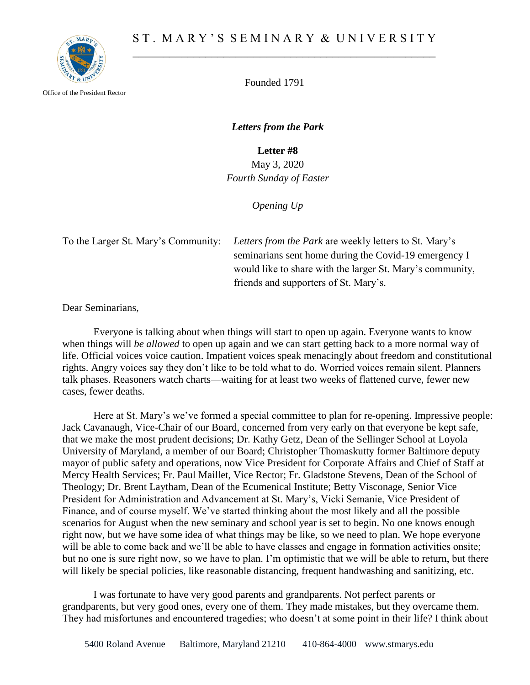

Office of the President Rector

Founded 1791

*Letters from the Park*

**Letter #8**

May 3, 2020 *Fourth Sunday of Easter*

*Opening Up*

To the Larger St. Mary's Community: *Letters from the Park* are weekly letters to St. Mary's seminarians sent home during the Covid-19 emergency I would like to share with the larger St. Mary's community, friends and supporters of St. Mary's.

Dear Seminarians,

Everyone is talking about when things will start to open up again. Everyone wants to know when things will *be allowed* to open up again and we can start getting back to a more normal way of life. Official voices voice caution. Impatient voices speak menacingly about freedom and constitutional rights. Angry voices say they don't like to be told what to do. Worried voices remain silent. Planners talk phases. Reasoners watch charts—waiting for at least two weeks of flattened curve, fewer new cases, fewer deaths.

Here at St. Mary's we've formed a special committee to plan for re-opening. Impressive people: Jack Cavanaugh, Vice-Chair of our Board, concerned from very early on that everyone be kept safe, that we make the most prudent decisions; Dr. Kathy Getz, Dean of the Sellinger School at Loyola University of Maryland, a member of our Board; Christopher Thomaskutty former Baltimore deputy mayor of public safety and operations, now Vice President for Corporate Affairs and Chief of Staff at Mercy Health Services; Fr. Paul Maillet, Vice Rector; Fr. Gladstone Stevens, Dean of the School of Theology; Dr. Brent Laytham, Dean of the Ecumenical Institute; Betty Visconage, Senior Vice President for Administration and Advancement at St. Mary's, Vicki Semanie, Vice President of Finance, and of course myself. We've started thinking about the most likely and all the possible scenarios for August when the new seminary and school year is set to begin. No one knows enough right now, but we have some idea of what things may be like, so we need to plan. We hope everyone will be able to come back and we'll be able to have classes and engage in formation activities onsite; but no one is sure right now, so we have to plan. I'm optimistic that we will be able to return, but there will likely be special policies, like reasonable distancing, frequent handwashing and sanitizing, etc.

I was fortunate to have very good parents and grandparents. Not perfect parents or grandparents, but very good ones, every one of them. They made mistakes, but they overcame them. They had misfortunes and encountered tragedies; who doesn't at some point in their life? I think about